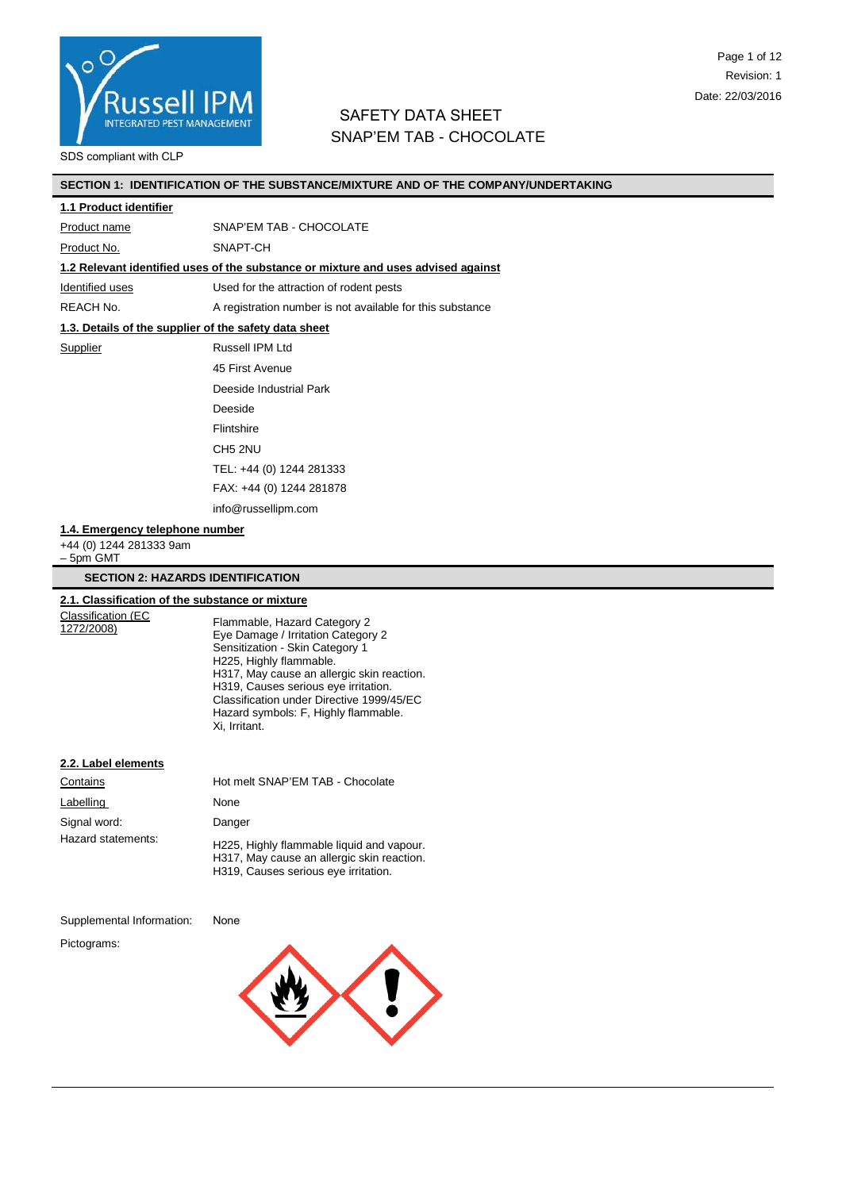

# Page 1 of 12 Revision: 1 Date: 22/03/2016

# SAFETY DATA SHEET SNAP'EM TAB - CHOCOLATE

#### SDS compliant with CLP

# **SECTION 1: IDENTIFICATION OF THE SUBSTANCE/MIXTURE AND OF THE COMPANY/UNDERTAKING**

#### **1.1 Product identifier**

Product name SNAP'EM TAB - CHOCOLATE

Product No. SNAPT-CH

#### **1.2 Relevant identified uses of the substance or mixture and uses advised against**

Identified uses Used for the attraction of rodent pests

REACH No. A registration number is not available for this substance

# **1.3. Details of the supplier of the safety data sheet**

Supplier Russell IPM Ltd 45 First Avenue Deeside Industrial Park Deeside Flintshire CH5 2NU TEL: +44 (0) 1244 281333 FAX: +44 (0) 1244 281878 info@russellipm.com

#### **1.4. Emergency telephone number**

+44 (0) 1244 281333 9am – 5pm GMT

#### **SECTION 2: HAZARDS IDENTIFICATION**

# **2.1. Classification of the substance or mixture**

Classification (EC<br>1272/2008)

Flammable, Hazard Category 2 Eye Damage / Irritation Category 2 Sensitization - Skin Category 1 H225, Highly flammable. H317, May cause an allergic skin reaction. H319, Causes serious eye irritation. Classification under Directive 1999/45/EC Hazard symbols: F, Highly flammable. Xi, Irritant.

#### **2.2. Label elements**

| Contains           | Hot melt SNAP'EM TAB - Chocolate                                                                                                |
|--------------------|---------------------------------------------------------------------------------------------------------------------------------|
| Labelling          | None                                                                                                                            |
| Signal word:       | Danger                                                                                                                          |
| Hazard statements: | H225, Highly flammable liquid and vapour.<br>H317, May cause an allergic skin reaction.<br>H319, Causes serious eye irritation. |

Supplemental Information: None

Pictograms:

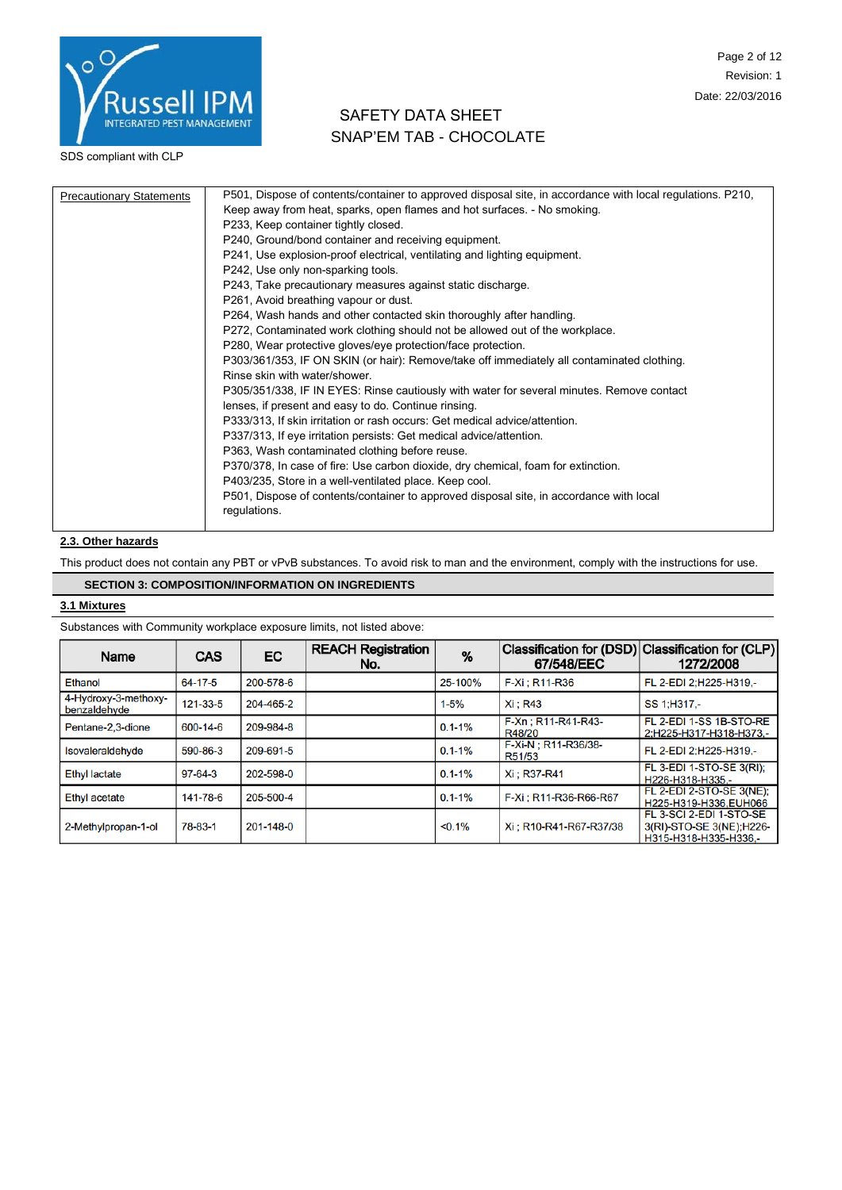

# SAFETY DATA SHEET SNAP'EM TAB - CHOCOLATE

| <b>Precautionary Statements</b> | P501, Dispose of contents/container to approved disposal site, in accordance with local regulations. P210, |
|---------------------------------|------------------------------------------------------------------------------------------------------------|
|                                 | Keep away from heat, sparks, open flames and hot surfaces. - No smoking.                                   |
|                                 | P233, Keep container tightly closed.                                                                       |
|                                 | P240, Ground/bond container and receiving equipment.                                                       |
|                                 | P241, Use explosion-proof electrical, ventilating and lighting equipment.                                  |
|                                 | P242, Use only non-sparking tools.                                                                         |
|                                 | P243, Take precautionary measures against static discharge.                                                |
|                                 | P261, Avoid breathing vapour or dust.                                                                      |
|                                 | P264, Wash hands and other contacted skin thoroughly after handling.                                       |
|                                 | P272, Contaminated work clothing should not be allowed out of the workplace.                               |
|                                 | P280, Wear protective gloves/eye protection/face protection.                                               |
|                                 | P303/361/353, IF ON SKIN (or hair): Remove/take off immediately all contaminated clothing.                 |
|                                 | Rinse skin with water/shower.                                                                              |
|                                 | P305/351/338, IF IN EYES: Rinse cautiously with water for several minutes. Remove contact                  |
|                                 | lenses, if present and easy to do. Continue rinsing.                                                       |
|                                 | P333/313, If skin irritation or rash occurs: Get medical advice/attention.                                 |
|                                 | P337/313, If eye irritation persists: Get medical advice/attention.                                        |
|                                 | P363, Wash contaminated clothing before reuse.                                                             |
|                                 | P370/378, In case of fire: Use carbon dioxide, dry chemical, foam for extinction.                          |
|                                 | P403/235, Store in a well-ventilated place. Keep cool.                                                     |
|                                 | P501, Dispose of contents/container to approved disposal site, in accordance with local                    |
|                                 | regulations.                                                                                               |
|                                 |                                                                                                            |

# **2.3. Other hazards**

This product does not contain any PBT or vPvB substances. To avoid risk to man and the environment, comply with the instructions for use.

# **SECTION 3: COMPOSITION/INFORMATION ON INGREDIENTS**

#### **3.1 Mixtures**

Substances with Community workplace exposure limits, not listed above:

| Name                                 | <b>CAS</b> | EC        | <b>REACH Registration</b><br>No. | %          | Classification for (DSD) Classification for (CLP)<br>67/548/EEC | 1272/2008                                                                     |
|--------------------------------------|------------|-----------|----------------------------------|------------|-----------------------------------------------------------------|-------------------------------------------------------------------------------|
| Ethanol                              | 64-17-5    | 200-578-6 |                                  | 25-100%    | F-Xi : R11-R36                                                  | FL 2-EDI 2:H225-H319.-                                                        |
| 4-Hydroxy-3-methoxy-<br>benzaldehyde | 121-33-5   | 204-465-2 |                                  | $1 - 5%$   | Xi: R43                                                         | SS 1:H317.-                                                                   |
| Pentane-2,3-dione                    | 600-14-6   | 209-984-8 |                                  | $0.1 - 1%$ | F-Xn: R11-R41-R43-<br>R48/20                                    | FL 2-EDI 1-SS 1B-STO-RE<br>2:H225-H317-H318-H373.-                            |
| Isovaleraldehyde                     | 590-86-3   | 209-691-5 |                                  | $0.1 - 1%$ | F-Xi-N; R11-R36/38-<br>R51/53                                   | FL 2-EDI 2:H225-H319.-                                                        |
| <b>Ethyl lactate</b>                 | 97-64-3    | 202-598-0 |                                  | $0.1 - 1%$ | Xi: R37-R41                                                     | FL 3-EDI 1-STO-SE 3(RI):<br>H226-H318-H335.-                                  |
| Ethyl acetate                        | 141-78-6   | 205-500-4 |                                  | $0.1 - 1%$ | F-Xi ; R11-R36-R66-R67                                          | FL 2-EDI 2-STO-SE 3(NE):<br>H225-H319-H336.EUH066                             |
| 2-Methylpropan-1-ol                  | 78-83-1    | 201-148-0 |                                  | $< 0.1\%$  | Xi: R10-R41-R67-R37/38                                          | FL 3-SCI 2-EDI 1-STO-SE<br>3(RI)-STO-SE 3(NE); H226-<br>H315-H318-H335-H336,- |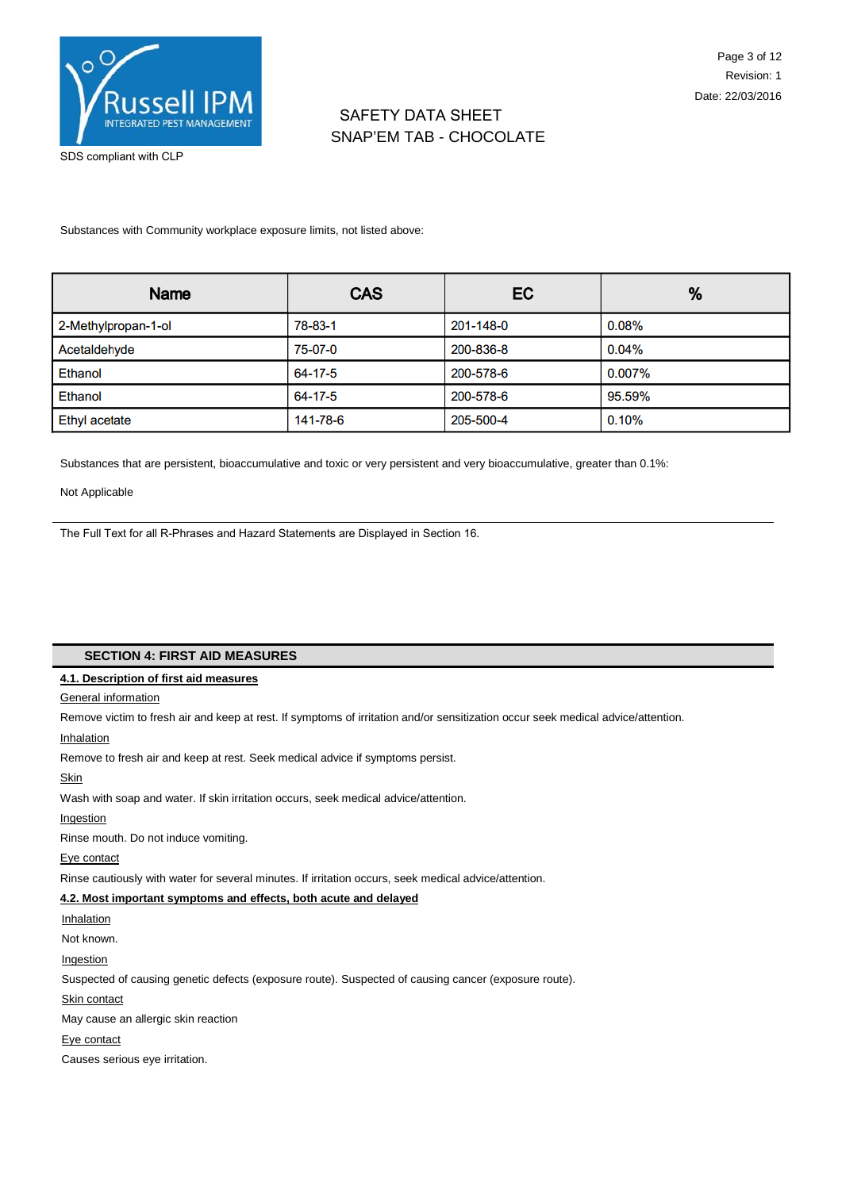

SDS compliant with CLP

Substances with Community workplace exposure limits, not listed above:

| Name                 | <b>CAS</b> | EC        | %         |
|----------------------|------------|-----------|-----------|
| 2-Methylpropan-1-ol  | 78-83-1    | 201-148-0 | 0.08%     |
| Acetaldehyde         | 75-07-0    | 200-836-8 | 0.04%     |
| <b>Ethanol</b>       | 64-17-5    | 200-578-6 | $0.007\%$ |
| Ethanol              | 64-17-5    | 200-578-6 | 95.59%    |
| <b>Ethyl acetate</b> | 141-78-6   | 205-500-4 | 0.10%     |

Substances that are persistent, bioaccumulative and toxic or very persistent and very bioaccumulative, greater than 0.1%:

Not Applicable

The Full Text for all R-Phrases and Hazard Statements are Displayed in Section 16.

### **SECTION 4: FIRST AID MEASURES**

# **4.1. Description of first aid measures**

#### General information

Remove victim to fresh air and keep at rest. If symptoms of irritation and/or sensitization occur seek medical advice/attention.

Inhalation

Remove to fresh air and keep at rest. Seek medical advice if symptoms persist.

**Skin** 

Wash with soap and water. If skin irritation occurs, seek medical advice/attention.

#### Ingestion

Rinse mouth. Do not induce vomiting.

Eye contact

Rinse cautiously with water for several minutes. If irritation occurs, seek medical advice/attention.

# **4.2. Most important symptoms and effects, both acute and delayed**

Inhalation

Not known.

Ingestion

Suspected of causing genetic defects (exposure route). Suspected of causing cancer (exposure route).

Skin contact

May cause an allergic skin reaction

Eye contact

Causes serious eye irritation.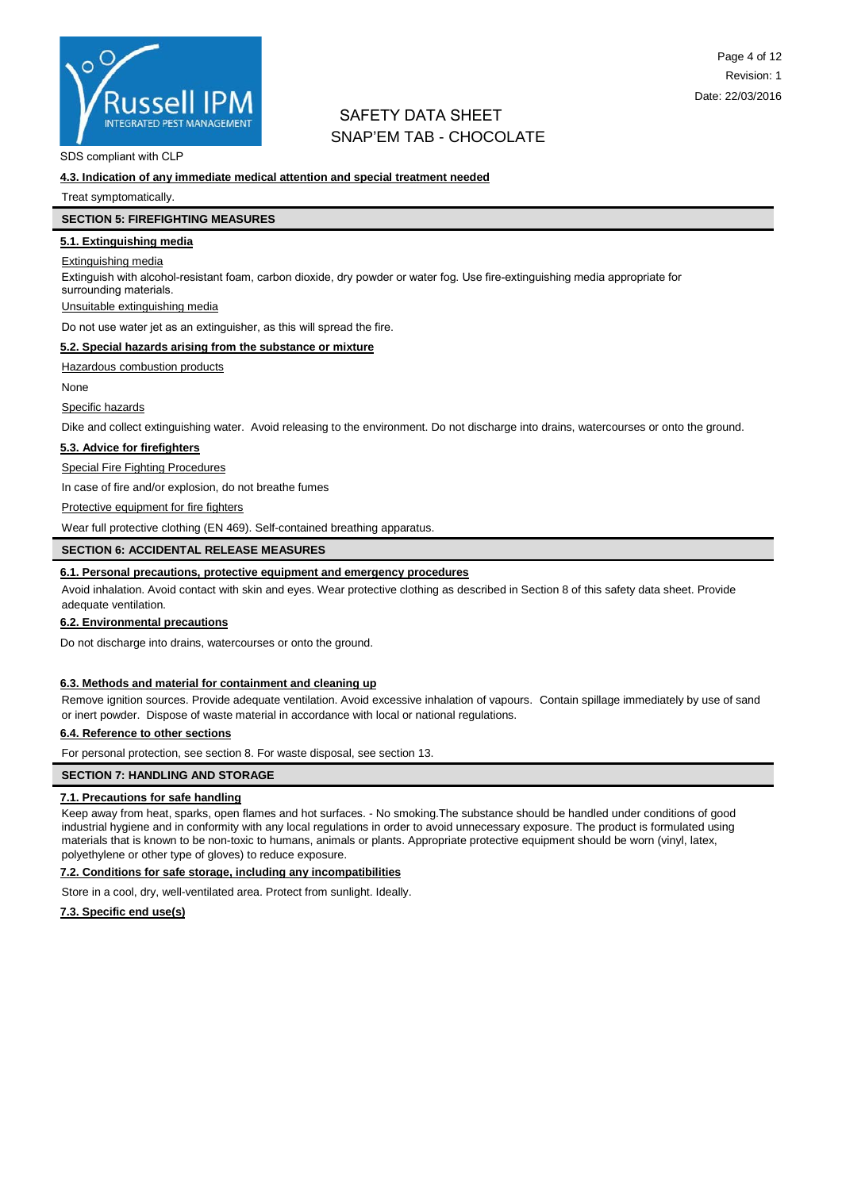

SDS compliant with CLP

#### **4.3. Indication of any immediate medical attention and special treatment needed**

Treat symptomatically.

### **SECTION 5: FIREFIGHTING MEASURES**

**5.1. Extinguishing media**

# Extinguishing media

Extinguish with alcohol-resistant foam, carbon dioxide, dry powder or water fog. Use fire-extinguishing media appropriate for surrounding materials.

#### Unsuitable extinguishing media

Do not use water jet as an extinguisher, as this will spread the fire.

#### **5.2. Special hazards arising from the substance or mixture**

Hazardous combustion products

None

#### Specific hazards

Dike and collect extinguishing water. Avoid releasing to the environment. Do not discharge into drains, watercourses or onto the ground.

#### **5.3. Advice for firefighters**

Special Fire Fighting Procedures

In case of fire and/or explosion, do not breathe fumes

#### Protective equipment for fire fighters

Wear full protective clothing (EN 469). Self-contained breathing apparatus.

#### **SECTION 6: ACCIDENTAL RELEASE MEASURES**

# **6.1. Personal precautions, protective equipment and emergency procedures**

Avoid inhalation. Avoid contact with skin and eyes. Wear protective clothing as described in Section 8 of this safety data sheet. Provide adequate ventilation.

#### **6.2. Environmental precautions**

Do not discharge into drains, watercourses or onto the ground.

#### **6.3. Methods and material for containment and cleaning up**

Remove ignition sources. Provide adequate ventilation. Avoid excessive inhalation of vapours. Contain spillage immediately by use of sand or inert powder. Dispose of waste material in accordance with local or national regulations.

#### **6.4. Reference to other sections**

For personal protection, see section 8. For waste disposal, see section 13.

#### **SECTION 7: HANDLING AND STORAGE**

#### **7.1. Precautions for safe handling**

Keep away from heat, sparks, open flames and hot surfaces. - No smoking.The substance should be handled under conditions of good industrial hygiene and in conformity with any local regulations in order to avoid unnecessary exposure. The product is formulated using materials that is known to be non-toxic to humans, animals or plants. Appropriate protective equipment should be worn (vinyl, latex, polyethylene or other type of gloves) to reduce exposure.

#### **7.2. Conditions for safe storage, including any incompatibilities**

Store in a cool, dry, well-ventilated area. Protect from sunlight. Ideally.

#### **7.3. Specific end use(s)**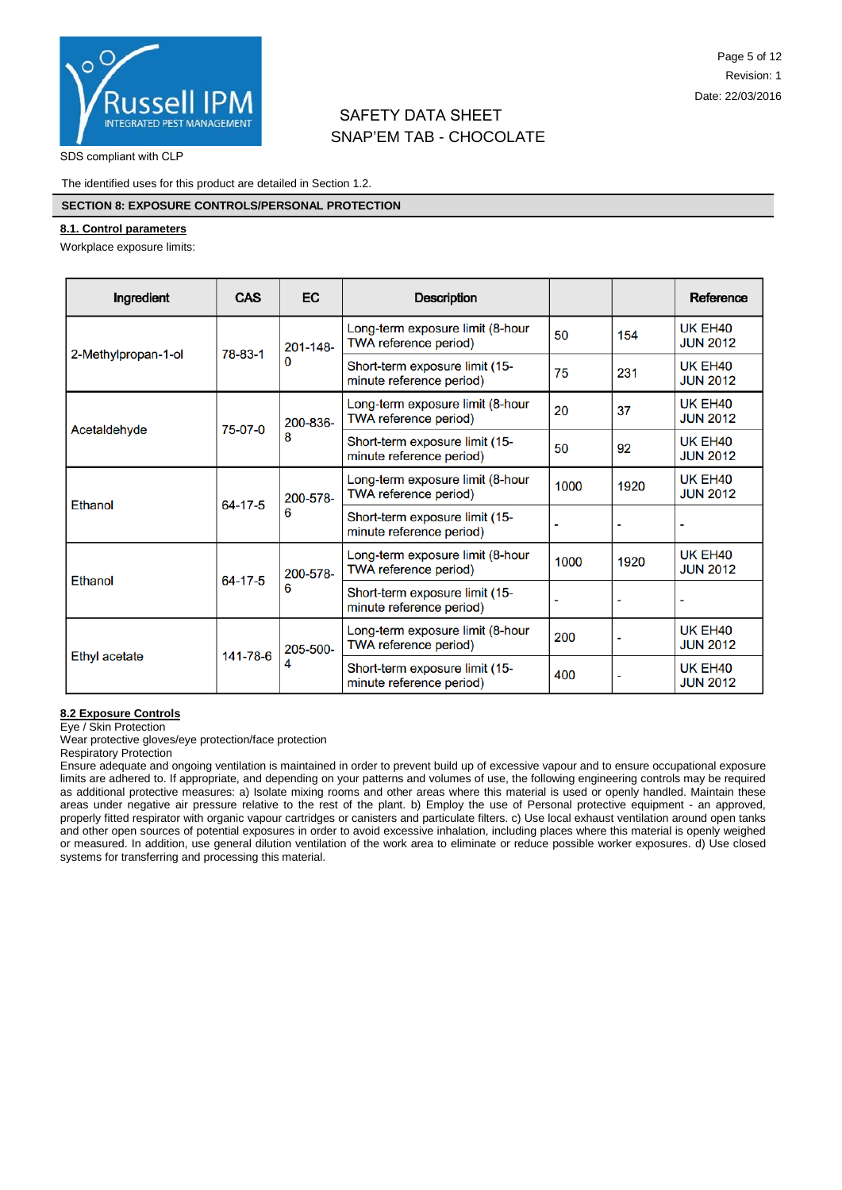

SDS compliant with CLP

The identified uses for this product are detailed in Section 1.2.

### **SECTION 8: EXPOSURE CONTROLS/PERSONAL PROTECTION**

#### **8.1. Control parameters**

Workplace exposure limits:

| Ingredient                | CAS           | <b>EC</b>                                                  | <b>Description</b>                                         |      |                                        | Reference                              |
|---------------------------|---------------|------------------------------------------------------------|------------------------------------------------------------|------|----------------------------------------|----------------------------------------|
|                           | 78-83-1       | 201-148-<br>0                                              | Long-term exposure limit (8-hour<br>TWA reference period)  | 50   | 154                                    | UK EH <sub>40</sub><br><b>JUN 2012</b> |
| 2-Methylpropan-1-ol       |               |                                                            | Short-term exposure limit (15-<br>minute reference period) | 75   | 231                                    | UK EH <sub>40</sub><br><b>JUN 2012</b> |
| 75-07-0<br>Acetaldehyde   | 200-836-<br>8 | Long-term exposure limit (8-hour<br>TWA reference period)  | 20                                                         | 37   | UK EH <sub>40</sub><br><b>JUN 2012</b> |                                        |
|                           |               | Short-term exposure limit (15-<br>minute reference period) | 50                                                         | 92   | UK EH <sub>40</sub><br><b>JUN 2012</b> |                                        |
| 64-17-5<br>Ethanol        |               | 200-578-<br>6                                              | Long-term exposure limit (8-hour<br>TWA reference period)  | 1000 | 1920                                   | UK EH <sub>40</sub><br><b>JUN 2012</b> |
|                           |               |                                                            | Short-term exposure limit (15-<br>minute reference period) |      |                                        |                                        |
| 64-17-5<br><b>Ethanol</b> | 200-578-      | Long-term exposure limit (8-hour<br>TWA reference period)  | 1000                                                       | 1920 | UK EH <sub>40</sub><br><b>JUN 2012</b> |                                        |
|                           |               | 6                                                          | Short-term exposure limit (15-<br>minute reference period) |      |                                        |                                        |
| 141-78-6<br>Ethyl acetate |               | 205-500-<br>4                                              | Long-term exposure limit (8-hour<br>TWA reference period)  | 200  |                                        | UK EH <sub>40</sub><br><b>JUN 2012</b> |
|                           |               |                                                            | Short-term exposure limit (15-<br>minute reference period) | 400  |                                        | UK EH <sub>40</sub><br><b>JUN 2012</b> |

#### **8.2 Exposure Controls**

Eye / Skin Protection Wear protective gloves/eye protection/face protection

Respiratory Protection

Ensure adequate and ongoing ventilation is maintained in order to prevent build up of excessive vapour and to ensure occupational exposure limits are adhered to. If appropriate, and depending on your patterns and volumes of use, the following engineering controls may be required as additional protective measures: a) Isolate mixing rooms and other areas where this material is used or openly handled. Maintain these areas under negative air pressure relative to the rest of the plant. b) Employ the use of Personal protective equipment - an approved, properly fitted respirator with organic vapour cartridges or canisters and particulate filters. c) Use local exhaust ventilation around open tanks and other open sources of potential exposures in order to avoid excessive inhalation, including places where this material is openly weighed or measured. In addition, use general dilution ventilation of the work area to eliminate or reduce possible worker exposures. d) Use closed systems for transferring and processing this material.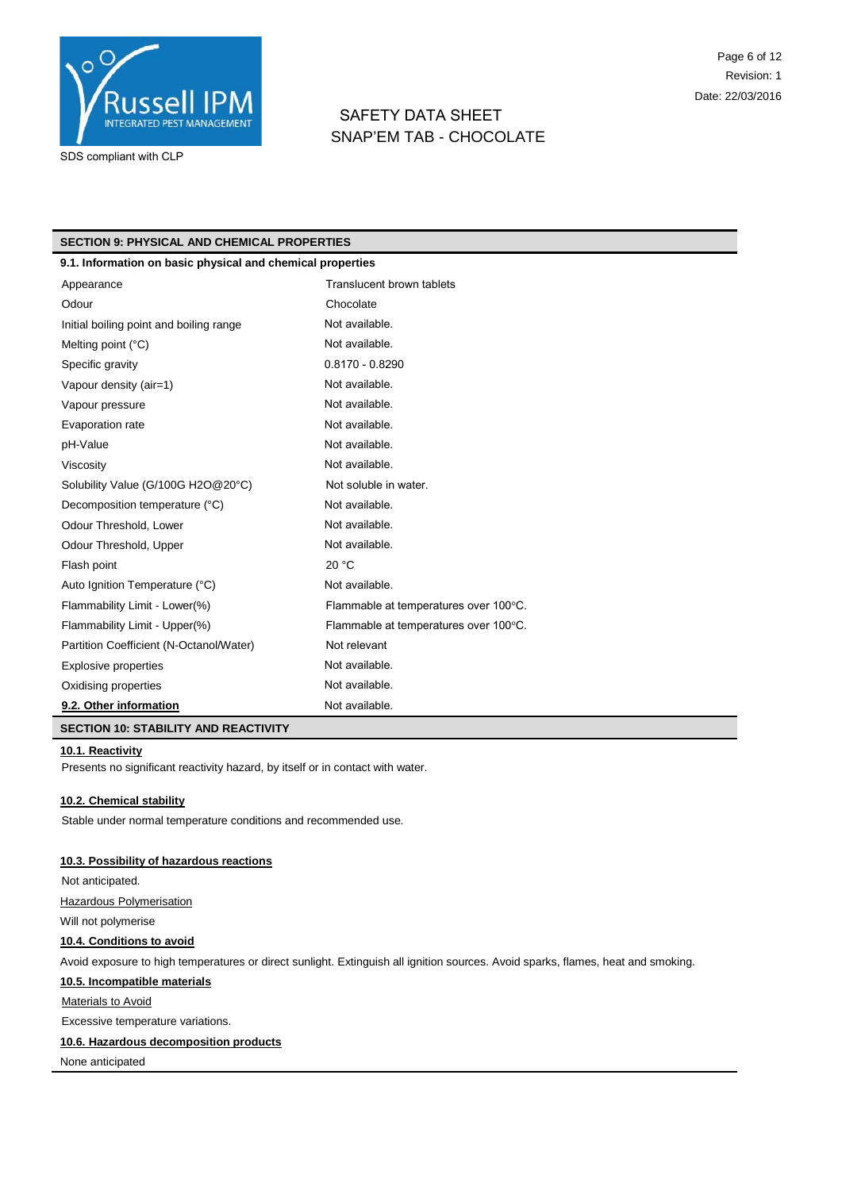

# SAFETY DATA SHEET SNAP'EM TAB - CHOCOLATE

### **SECTION 9: PHYSICAL AND CHEMICAL PROPERTIES**

| 9.1. Information on basic physical and chemical properties |                                       |
|------------------------------------------------------------|---------------------------------------|
| Appearance                                                 | Translucent brown tablets             |
| Odour                                                      | Chocolate                             |
| Initial boiling point and boiling range                    | Not available.                        |
| Melting point $(^{\circ}C)$                                | Not available.                        |
| Specific gravity                                           | $0.8170 - 0.8290$                     |
| Vapour density (air=1)                                     | Not available.                        |
| Vapour pressure                                            | Not available.                        |
| Evaporation rate                                           | Not available.                        |
| pH-Value                                                   | Not available.                        |
| Viscosity                                                  | Not available.                        |
| Solubility Value (G/100G H2O@20°C)                         | Not soluble in water.                 |
| Decomposition temperature (°C)                             | Not available.                        |
| Odour Threshold, Lower                                     | Not available.                        |
| Odour Threshold, Upper                                     | Not available.                        |
| Flash point                                                | 20 °C                                 |
| Auto Ignition Temperature (°C)                             | Not available.                        |
| Flammability Limit - Lower(%)                              | Flammable at temperatures over 100°C. |
| Flammability Limit - Upper(%)                              | Flammable at temperatures over 100°C. |
| Partition Coefficient (N-Octanol/Water)                    | Not relevant                          |
| <b>Explosive properties</b>                                | Not available.                        |
| Oxidising properties                                       | Not available.                        |
| 9.2. Other information                                     | Not available.                        |
| <b>SECTION 10: STABILITY AND REACTIVITY</b>                |                                       |

# **10.1. Reactivity**

Presents no significant reactivity hazard, by itself or in contact with water.

#### **10.2. Chemical stability**

Stable under normal temperature conditions and recommended use.

#### **10.3. Possibility of hazardous reactions**

Not anticipated. Hazardous Polymerisation

Will not polymerise

### **10.4. Conditions to avoid**

Avoid exposure to high temperatures or direct sunlight. Extinguish all ignition sources. Avoid sparks, flames, heat and smoking.

# **10.5. Incompatible materials**

**Materials to Avoid** 

Excessive temperature variations.

### **10.6. Hazardous decomposition products**

None anticipated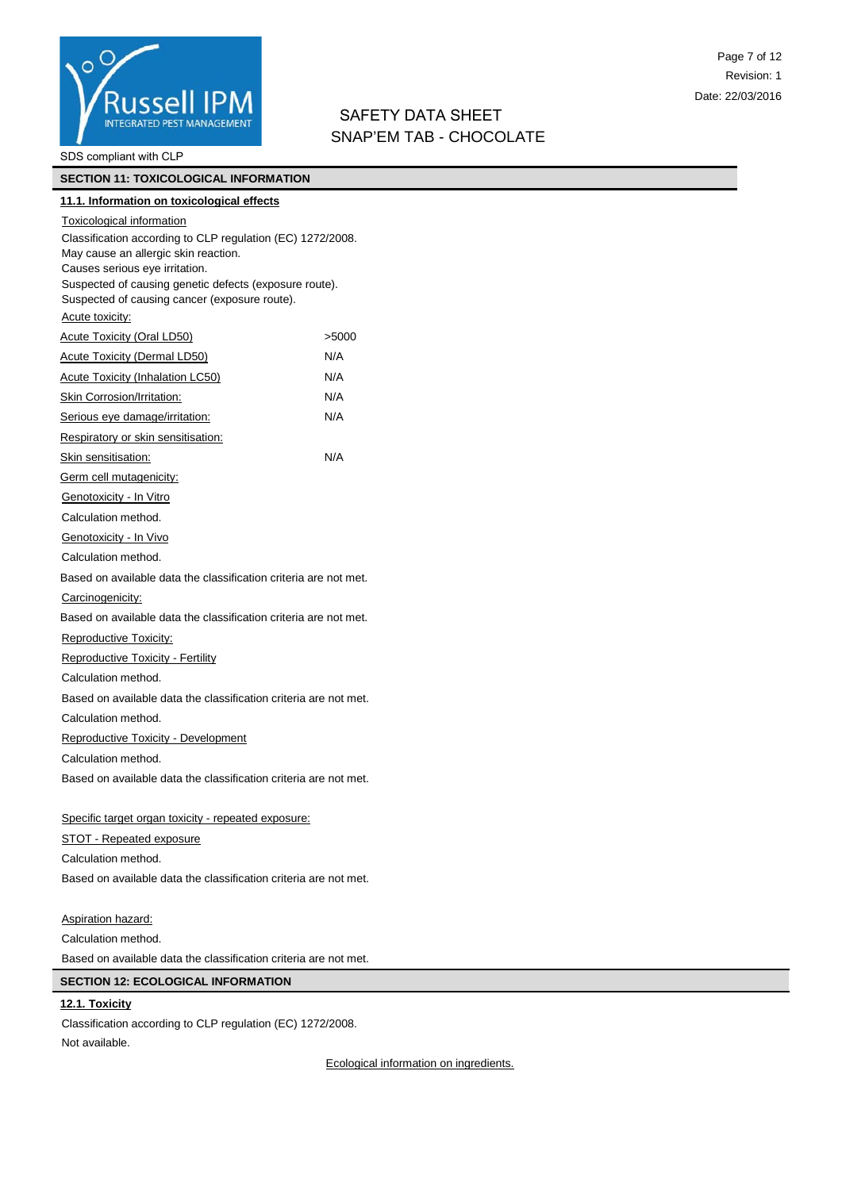

SDS compliant with CLP

# **SECTION 11: TOXICOLOGICAL INFORMATION**

# **11.1. Information on toxicological effects** Toxicological information

Classification according to CLP regulation (EC) 1272/2008. May cause an allergic skin reaction. Causes serious eye irritation. Suspected of causing genetic defects (exposure route). Suspected of causing cancer (exposure route). Acute toxicity: Acute Toxicity (Oral LD50)  $>5000$ Acute Toxicity (Dermal LD50) N/A Acute Toxicity (Inhalation LC50) N/A Skin Corrosion/Irritation: N/A Serious eye damage/irritation: N/A Respiratory or skin sensitisation: Skin sensitisation: N/A Germ cell mutagenicity: Genotoxicity - In Vitro Calculation method. Genotoxicity - In Vivo Calculation method. Based on available data the classification criteria are not met. Carcinogenicity: Based on available data the classification criteria are not met. Reproductive Toxicity: Reproductive Toxicity - Fertility Calculation method. Based on available data the classification criteria are not met. Calculation method. Reproductive Toxicity - Development Calculation method. Based on available data the classification criteria are not met.

# Specific target organ toxicity - repeated exposure:

STOT - Repeated exposure Calculation method. Based on available data the classification criteria are not met.

Aspiration hazard: Calculation method. Based on available data the classification criteria are not met.

# **SECTION 12: ECOLOGICAL INFORMATION**

# **12.1. Toxicity**

Classification according to CLP regulation (EC) 1272/2008. Not available.

Ecological information on ingredients.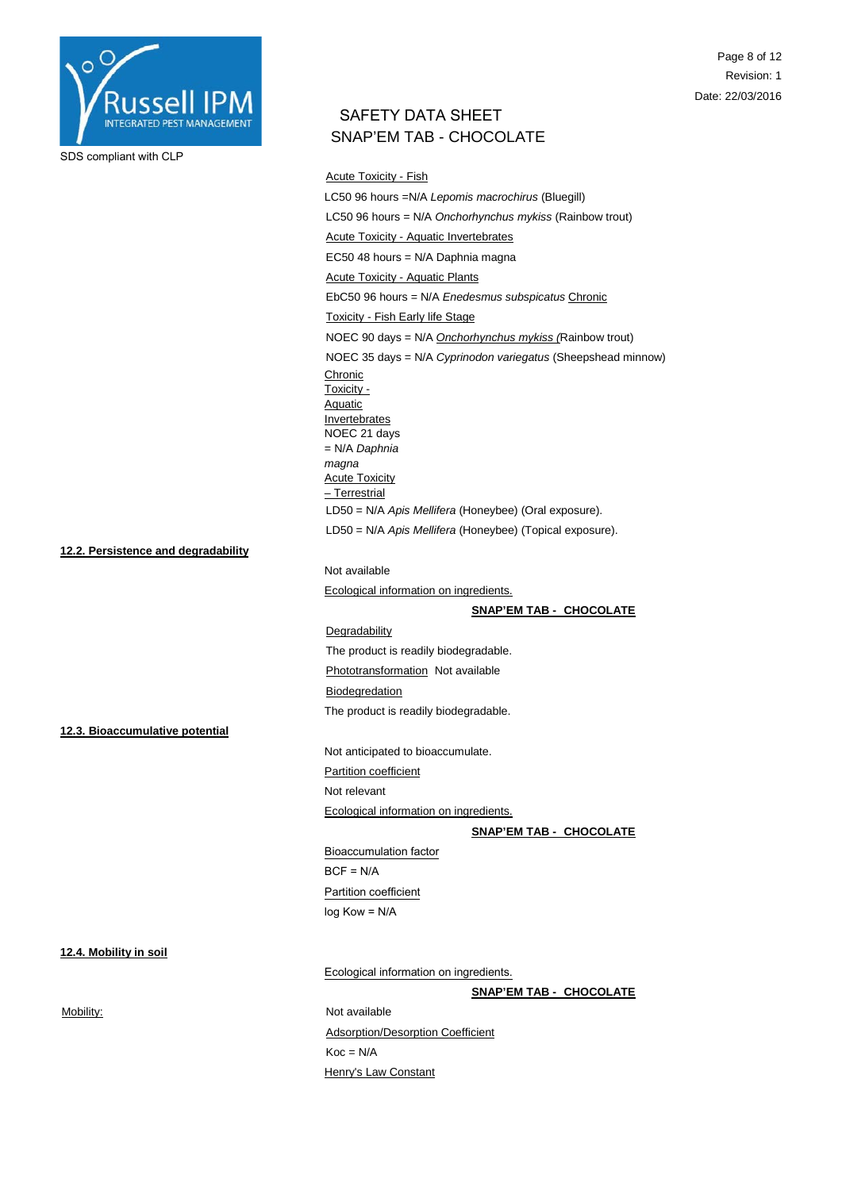

Page 8 of 12 Revision: 1 Date: 22/03/2016

# SAFETY DATA SHEET SNAP'EM TAB - CHOCOLATE

Acute Toxicity - Fish LC50 96 hours =N/A *Lepomis macrochirus* (Bluegill) LC50 96 hours = N/A *Onchorhynchus mykiss* (Rainbow trout) Acute Toxicity - Aquatic Invertebrates EC50 48 hours = N/A Daphnia magna Acute Toxicity - Aquatic Plants EbC50 96 hours = N/A *Enedesmus subspicatus* Chronic Toxicity - Fish Early life Stage NOEC 90 days = N/A *Onchorhynchus mykiss (*Rainbow trout) NOEC 35 days = N/A *Cyprinodon variegatus* (Sheepshead minnow) Chronic Toxicity - Aquatic **Invertebrates** NOEC 21 days = N/A *Daphnia magna* **Acute Toxicity** – Terrestrial LD50 = N/A *Apis Mellifera* (Honeybee) (Oral exposure). LD50 = N/A *Apis Mellifera* (Honeybee) (Topical exposure). Not available

Ecological information on ingredients.

# **SNAP'EM TAB - CHOCOLATE**

### Degradability

The product is readily biodegradable.

# Phototransformation Not available

**Biodegredation** 

The product is readily biodegradable.

**12.3. Bioaccumulative potential**

**12.2. Persistence and degradability**

Not anticipated to bioaccumulate. Partition coefficient

Not relevant

Ecological information on ingredients.

**SNAP'EM TAB - CHOCOLATE**

Bioaccumulation factor  $BCF = N/A$ Partition coefficient log Kow = N/A

### **12.4. Mobility in soil**

Ecological information on ingredients.

**SNAP'EM TAB - CHOCOLATE**

Mobility: Mot available Adsorption/Desorption Coefficient  $Koc = N/A$ Henry's Law Constant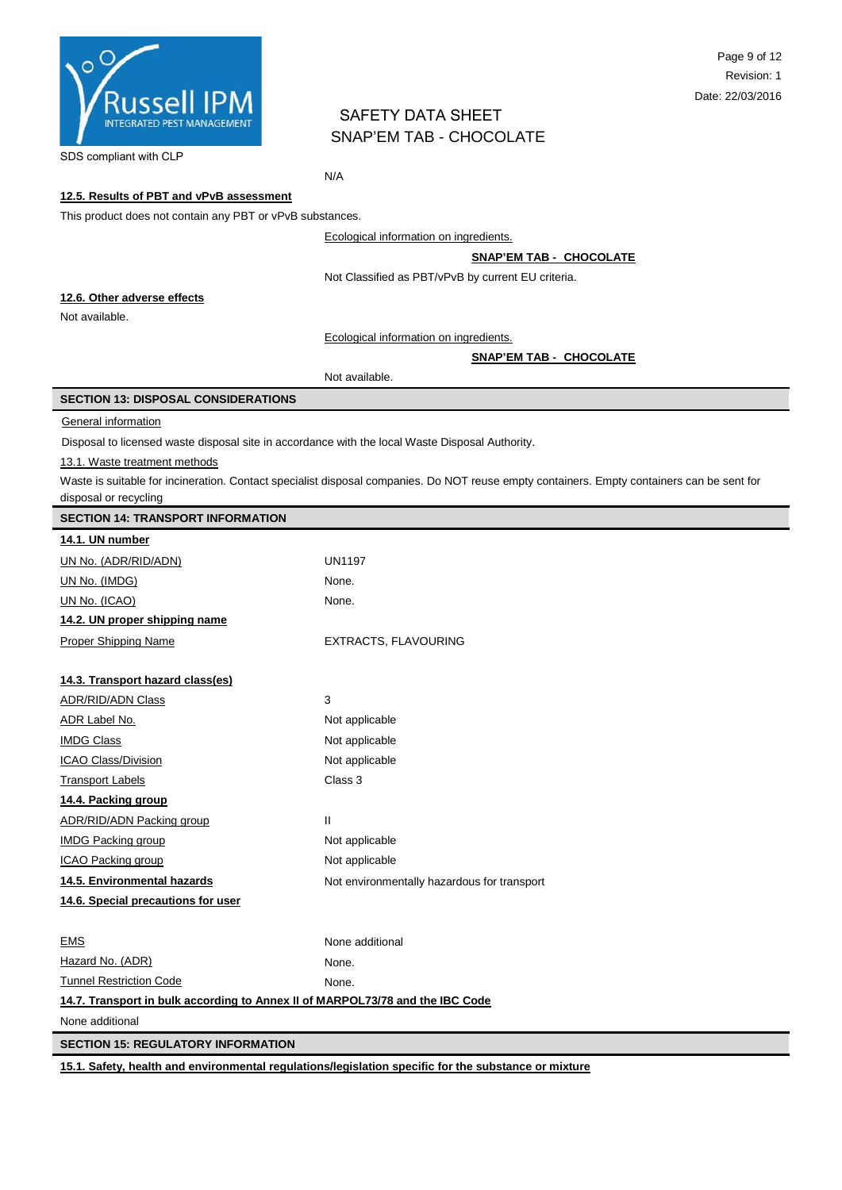

SDS compliant with CLP

N/A

# **12.5. Results of PBT and vPvB assessment**

This product does not contain any PBT or vPvB substances.

Ecological information on ingredients.

**SNAP'EM TAB - CHOCOLATE**

Not Classified as PBT/vPvB by current EU criteria.

#### **12.6. Other adverse effects**

Not available.

Ecological information on ingredients.

#### **SNAP'EM TAB - CHOCOLATE**

Not available.

### **SECTION 13: DISPOSAL CONSIDERATIONS**

#### **General information**

Disposal to licensed waste disposal site in accordance with the local Waste Disposal Authority.

#### 13.1. Waste treatment methods

Waste is suitable for incineration. Contact specialist disposal companies. Do NOT reuse empty containers. Empty containers can be sent for disposal or recycling

|  |  | <b>SECTION 14: TRANSPORT INFORMATION</b> |  |
|--|--|------------------------------------------|--|
|--|--|------------------------------------------|--|

| 14.1. UN number                                                               |                                             |
|-------------------------------------------------------------------------------|---------------------------------------------|
| UN No. (ADR/RID/ADN)                                                          | <b>UN1197</b>                               |
| UN No. (IMDG)                                                                 | None.                                       |
| UN No. (ICAO)                                                                 | None.                                       |
| 14.2. UN proper shipping name                                                 |                                             |
| <b>Proper Shipping Name</b>                                                   | <b>EXTRACTS, FLAVOURING</b>                 |
|                                                                               |                                             |
| 14.3. Transport hazard class(es)                                              |                                             |
| <b>ADR/RID/ADN Class</b>                                                      | 3                                           |
| ADR Label No.                                                                 | Not applicable                              |
| <b>IMDG Class</b>                                                             | Not applicable                              |
| ICAO Class/Division                                                           | Not applicable                              |
| <b>Transport Labels</b>                                                       | Class 3                                     |
| 14.4. Packing group                                                           |                                             |
| ADR/RID/ADN Packing group                                                     | Ш                                           |
| <b>IMDG Packing group</b>                                                     | Not applicable                              |
| <b>ICAO Packing group</b>                                                     | Not applicable                              |
| 14.5. Environmental hazards                                                   | Not environmentally hazardous for transport |
| 14.6. Special precautions for user                                            |                                             |
|                                                                               |                                             |
| <b>EMS</b>                                                                    | None additional                             |
| Hazard No. (ADR)                                                              | None.                                       |
| <b>Tunnel Restriction Code</b>                                                | None.                                       |
| 14.7. Transport in bulk according to Annex II of MARPOL73/78 and the IBC Code |                                             |
| None additional                                                               |                                             |
| <b>SECTION 15: REGULATORY INFORMATION</b>                                     |                                             |

**15.1. Safety, health and environmental regulations/legislation specific for the substance or mixture**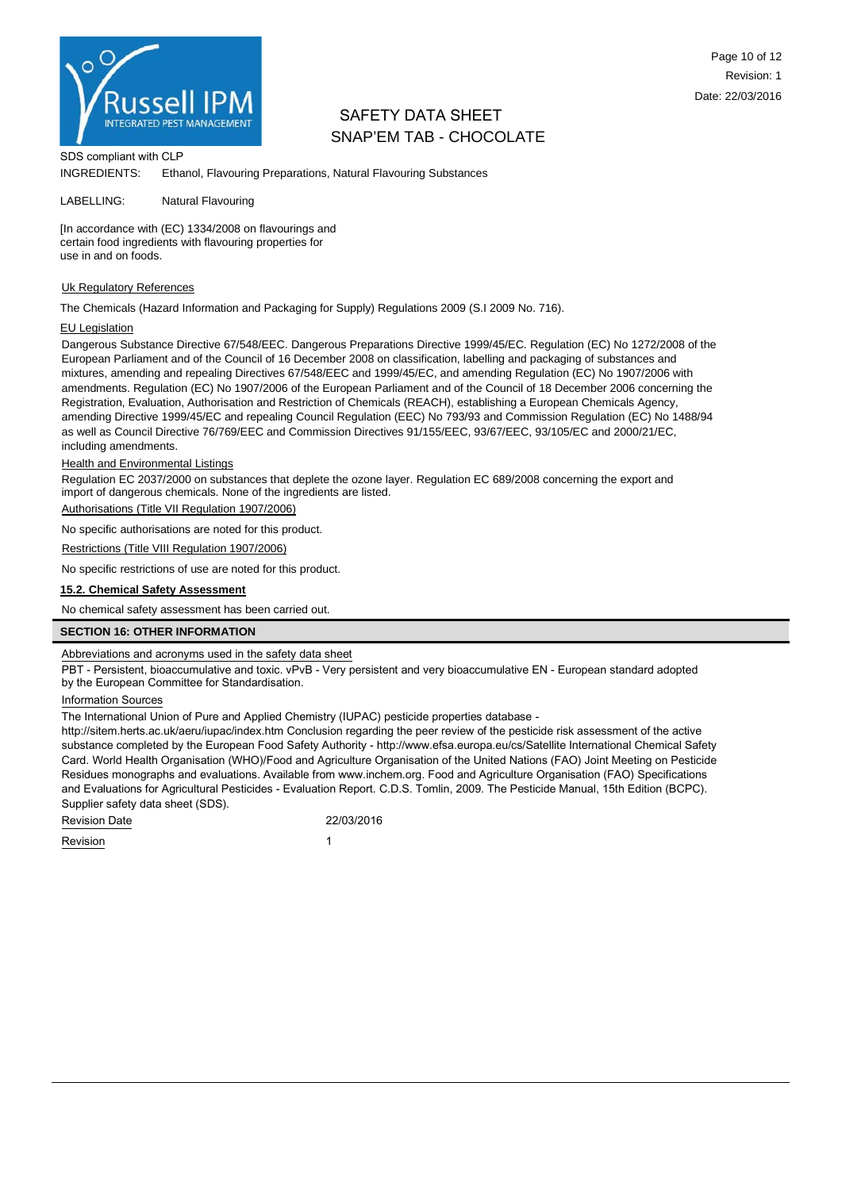

SDS compliant with CLP

INGREDIENTS: Ethanol, Flavouring Preparations, Natural Flavouring Substances

LABELLING: Natural Flavouring

[In accordance with (EC) 1334/2008 on flavourings and certain food ingredients with flavouring properties for use in and on foods.

#### Uk Regulatory References

The Chemicals (Hazard Information and Packaging for Supply) Regulations 2009 (S.I 2009 No. 716).

#### EU Legislation

Dangerous Substance Directive 67/548/EEC. Dangerous Preparations Directive 1999/45/EC. Regulation (EC) No 1272/2008 of the European Parliament and of the Council of 16 December 2008 on classification, labelling and packaging of substances and mixtures, amending and repealing Directives 67/548/EEC and 1999/45/EC, and amending Regulation (EC) No 1907/2006 with amendments. Regulation (EC) No 1907/2006 of the European Parliament and of the Council of 18 December 2006 concerning the Registration, Evaluation, Authorisation and Restriction of Chemicals (REACH), establishing a European Chemicals Agency, amending Directive 1999/45/EC and repealing Council Regulation (EEC) No 793/93 and Commission Regulation (EC) No 1488/94 as well as Council Directive 76/769/EEC and Commission Directives 91/155/EEC, 93/67/EEC, 93/105/EC and 2000/21/EC, including amendments.

#### Health and Environmental Listings

Regulation EC 2037/2000 on substances that deplete the ozone layer. Regulation EC 689/2008 concerning the export and import of dangerous chemicals. None of the ingredients are listed.

Authorisations (Title VII Regulation 1907/2006)

No specific authorisations are noted for this product.

Restrictions (Title VIII Regulation 1907/2006)

No specific restrictions of use are noted for this product.

#### **15.2. Chemical Safety Assessment**

No chemical safety assessment has been carried out.

### **SECTION 16: OTHER INFORMATION**

Abbreviations and acronyms used in the safety data sheet

PBT - Persistent, bioaccumulative and toxic. vPvB - Very persistent and very bioaccumulative EN - European standard adopted by the European Committee for Standardisation.

#### Information Sources

The International Union of Pure and Applied Chemistry (IUPAC) pesticide properties database -

http://sitem.herts.ac.uk/aeru/iupac/index.htm Conclusion regarding the peer review of the pesticide risk assessment of the active substance completed by the European Food Safety Authority - http://www.efsa.europa.eu/cs/Satellite International Chemical Safety Card. World Health Organisation (WHO)/Food and Agriculture Organisation of the United Nations (FAO) Joint Meeting on Pesticide Residues monographs and evaluations. Available from www.inchem.org. Food and Agriculture Organisation (FAO) Specifications and Evaluations for Agricultural Pesticides - Evaluation Report. C.D.S. Tomlin, 2009. The Pesticide Manual, 15th Edition (BCPC). Supplier safety data sheet (SDS).

| <b>Revision Date</b> | 22/03/2016 |  |  |
|----------------------|------------|--|--|
| Revision             |            |  |  |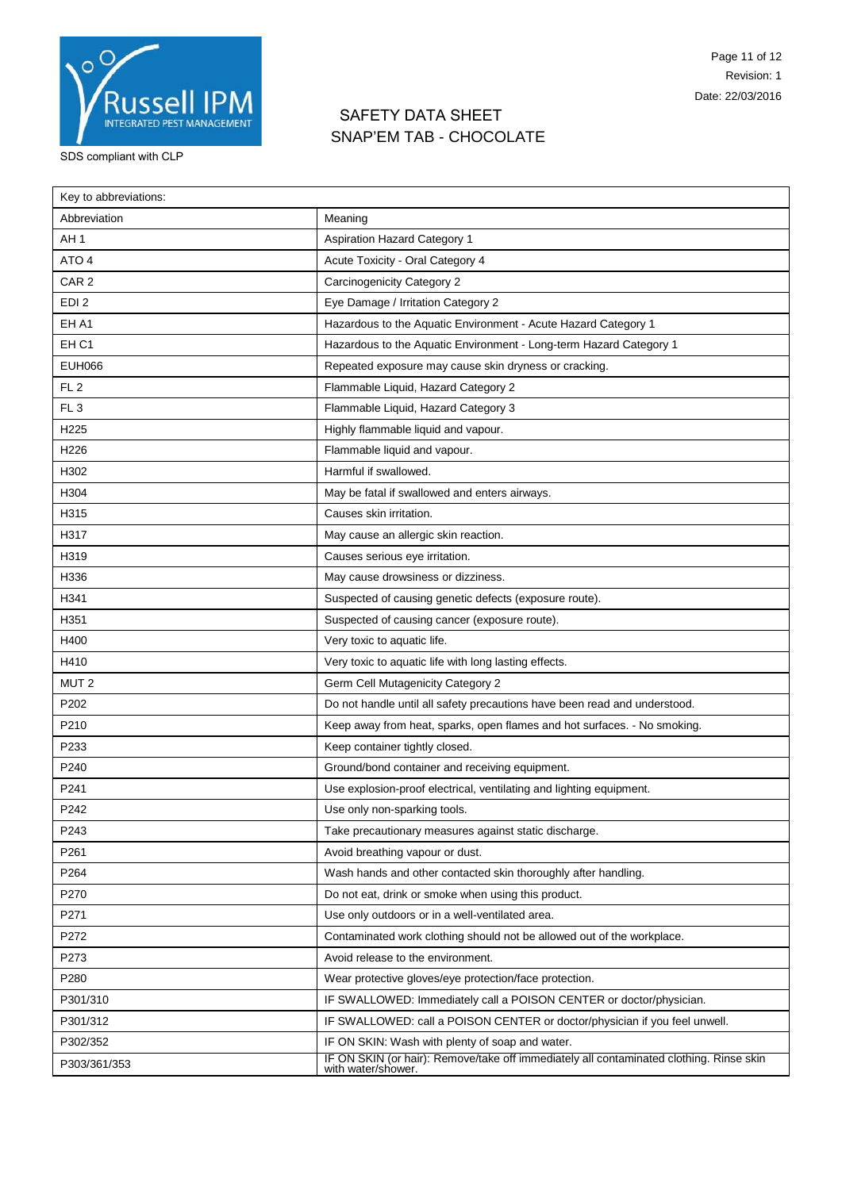

| Key to abbreviations: |                                                                                                               |
|-----------------------|---------------------------------------------------------------------------------------------------------------|
| Abbreviation          | Meaning                                                                                                       |
| AH <sub>1</sub>       | <b>Aspiration Hazard Category 1</b>                                                                           |
| ATO <sub>4</sub>      | Acute Toxicity - Oral Category 4                                                                              |
| CAR <sub>2</sub>      | Carcinogenicity Category 2                                                                                    |
| EDI <sub>2</sub>      | Eye Damage / Irritation Category 2                                                                            |
| EH A1                 | Hazardous to the Aquatic Environment - Acute Hazard Category 1                                                |
| EH <sub>C1</sub>      | Hazardous to the Aquatic Environment - Long-term Hazard Category 1                                            |
| <b>EUH066</b>         | Repeated exposure may cause skin dryness or cracking.                                                         |
| FL <sub>2</sub>       | Flammable Liquid, Hazard Category 2                                                                           |
| FL <sub>3</sub>       | Flammable Liquid, Hazard Category 3                                                                           |
| H <sub>225</sub>      | Highly flammable liquid and vapour.                                                                           |
| H226                  | Flammable liquid and vapour.                                                                                  |
| H302                  | Harmful if swallowed.                                                                                         |
| H304                  | May be fatal if swallowed and enters airways.                                                                 |
| H315                  | Causes skin irritation.                                                                                       |
| H317                  | May cause an allergic skin reaction.                                                                          |
| H319                  | Causes serious eye irritation.                                                                                |
| H336                  | May cause drowsiness or dizziness.                                                                            |
| H341                  | Suspected of causing genetic defects (exposure route).                                                        |
| H351                  | Suspected of causing cancer (exposure route).                                                                 |
| H400                  | Very toxic to aquatic life.                                                                                   |
| H410                  | Very toxic to aquatic life with long lasting effects.                                                         |
| MUT <sub>2</sub>      | Germ Cell Mutagenicity Category 2                                                                             |
| P202                  | Do not handle until all safety precautions have been read and understood.                                     |
| P210                  | Keep away from heat, sparks, open flames and hot surfaces. - No smoking.                                      |
| P233                  | Keep container tightly closed.                                                                                |
| P240                  | Ground/bond container and receiving equipment.                                                                |
| P241                  | Use explosion-proof electrical, ventilating and lighting equipment.                                           |
| P242                  | Use only non-sparking tools.                                                                                  |
| P243                  | Take precautionary measures against static discharge.                                                         |
| P261                  | Avoid breathing vapour or dust.                                                                               |
| P264                  | Wash hands and other contacted skin thoroughly after handling.                                                |
| P270                  | Do not eat, drink or smoke when using this product.                                                           |
| P271                  | Use only outdoors or in a well-ventilated area.                                                               |
| P272                  | Contaminated work clothing should not be allowed out of the workplace.                                        |
| P273                  | Avoid release to the environment.                                                                             |
| P280                  | Wear protective gloves/eye protection/face protection.                                                        |
| P301/310              | IF SWALLOWED: Immediately call a POISON CENTER or doctor/physician.                                           |
| P301/312              | IF SWALLOWED: call a POISON CENTER or doctor/physician if you feel unwell.                                    |
| P302/352              | IF ON SKIN: Wash with plenty of soap and water.                                                               |
| P303/361/353          | IF ON SKIN (or hair): Remove/take off immediately all contaminated clothing. Rinse skin<br>with water/shower. |